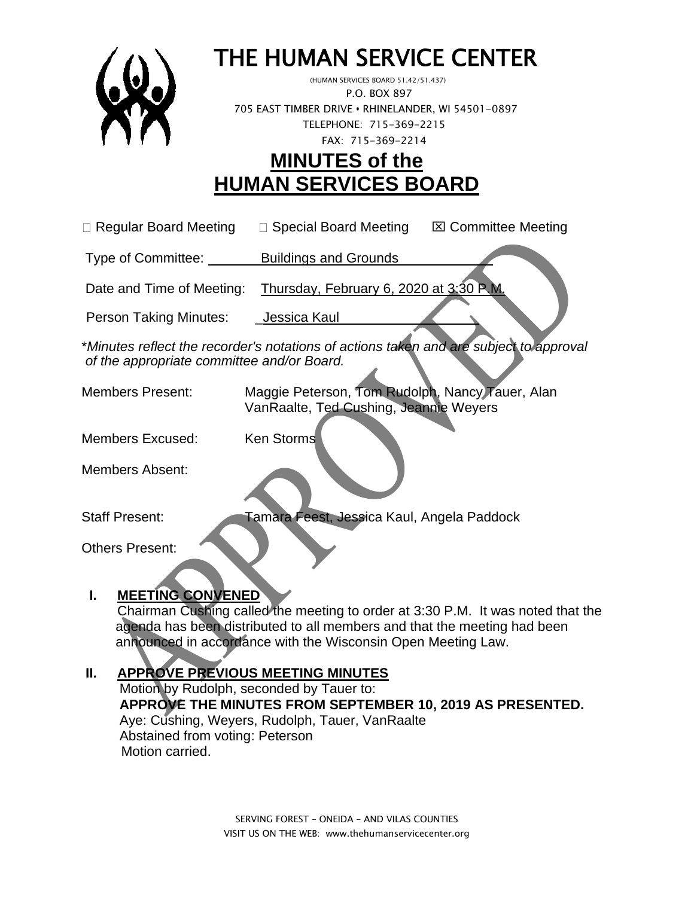

# THE HUMAN SERVICE CENTER

 (HUMAN SERVICES BOARD 51.42/51.437) P.O. BOX 897 705 EAST TIMBER DRIVE **•** RHINELANDER, WI 54501-0897 TELEPHONE: 715-369-2215 FAX: 715-369-2214

# **MINUTES of the HUMAN SERVICES BOARD**

| □ Regular Board Meeting | $\Box$ Special Board Meeting | <b>⊠ Committee Meeting</b> |
|-------------------------|------------------------------|----------------------------|
|                         |                              |                            |

Type of Committee: Buildings and Grounds \_\_\_\_\_\_\_\_\_ \_

Date and Time of Meeting: Thursday, February 6, 2020 at 3:30 P.

Person Taking Minutes: \_\_\_\_\_ Jessica Kaul

\**Minutes reflect the recorder's notations of actions taken and are subject to approval of the appropriate committee and/or Board.*

Members Present: Maggie Peterson, Tom Rudolph, Nancy Tauer, Alan VanRaalte, Ted Cushing, Jeannie Weyers

Members Excused: Ken Storms

Members Absent:

Staff Present: Tamara Feest, Jessica Kaul, Angela Paddock

Others Present:

### **I. MEETING CONVENED**

Chairman Cushing called the meeting to order at 3:30 P.M. It was noted that the agenda has been distributed to all members and that the meeting had been announced in accordance with the Wisconsin Open Meeting Law.

## **II. APPROVE PREVIOUS MEETING MINUTES**

 Motion by Rudolph, seconded by Tauer to:  **APPROVE THE MINUTES FROM SEPTEMBER 10, 2019 AS PRESENTED.** Aye: Cushing, Weyers, Rudolph, Tauer, VanRaalte Abstained from voting: Peterson Motion carried.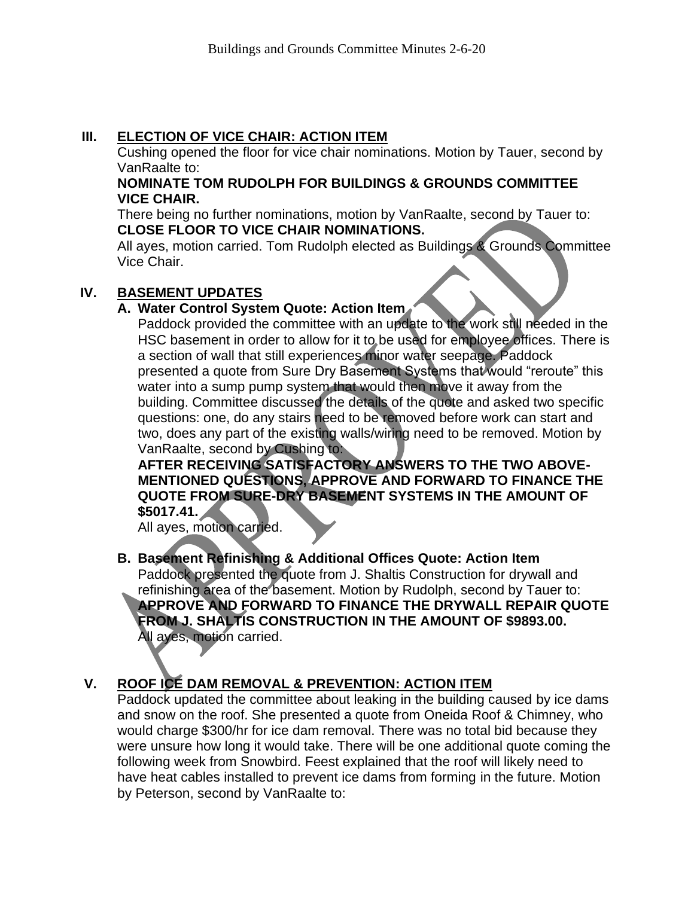#### **III. ELECTION OF VICE CHAIR: ACTION ITEM**

Cushing opened the floor for vice chair nominations. Motion by Tauer, second by VanRaalte to:

#### **NOMINATE TOM RUDOLPH FOR BUILDINGS & GROUNDS COMMITTEE VICE CHAIR.**

There being no further nominations, motion by VanRaalte, second by Tauer to: **CLOSE FLOOR TO VICE CHAIR NOMINATIONS.** 

All ayes, motion carried. Tom Rudolph elected as Buildings & Grounds Committee Vice Chair.

#### **IV. BASEMENT UPDATES**

#### **A. Water Control System Quote: Action Item**

Paddock provided the committee with an update to the work still needed in the HSC basement in order to allow for it to be used for employee offices. There is a section of wall that still experiences minor water seepage. Paddock presented a quote from Sure Dry Basement Systems that would "reroute" this water into a sump pump system that would then move it away from the building. Committee discussed the details of the quote and asked two specific questions: one, do any stairs need to be removed before work can start and two, does any part of the existing walls/wiring need to be removed. Motion by VanRaalte, second by Cushing to:

**AFTER RECEIVING SATISFACTORY ANSWERS TO THE TWO ABOVE-MENTIONED QUESTIONS, APPROVE AND FORWARD TO FINANCE THE QUOTE FROM SURE-DRY BASEMENT SYSTEMS IN THE AMOUNT OF \$5017.41.**

All ayes, motion carried.

#### **B. Basement Refinishing & Additional Offices Quote: Action Item** Paddock presented the quote from J. Shaltis Construction for drywall and refinishing area of the basement. Motion by Rudolph, second by Tauer to: **APPROVE AND FORWARD TO FINANCE THE DRYWALL REPAIR QUOTE FROM J. SHALTIS CONSTRUCTION IN THE AMOUNT OF \$9893.00.**  All ayes, motion carried.

#### **V. ROOF ICE DAM REMOVAL & PREVENTION: ACTION ITEM**

Paddock updated the committee about leaking in the building caused by ice dams and snow on the roof. She presented a quote from Oneida Roof & Chimney, who would charge \$300/hr for ice dam removal. There was no total bid because they were unsure how long it would take. There will be one additional quote coming the following week from Snowbird. Feest explained that the roof will likely need to have heat cables installed to prevent ice dams from forming in the future. Motion by Peterson, second by VanRaalte to: